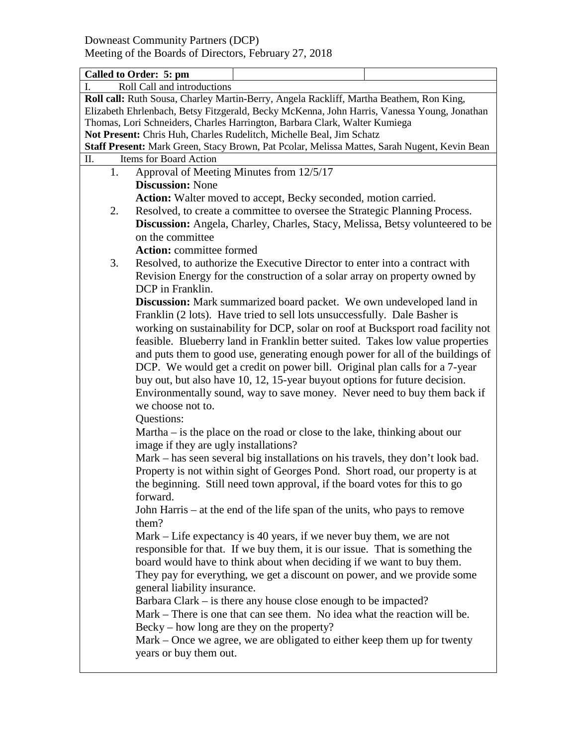|                                                                                              | Called to Order: 5: pm                                                                                                                                       |                                                                                         |  |  |  |
|----------------------------------------------------------------------------------------------|--------------------------------------------------------------------------------------------------------------------------------------------------------------|-----------------------------------------------------------------------------------------|--|--|--|
| $\mathbf{I}$ .                                                                               | Roll Call and introductions                                                                                                                                  |                                                                                         |  |  |  |
|                                                                                              |                                                                                                                                                              | Roll call: Ruth Sousa, Charley Martin-Berry, Angela Rackliff, Martha Beathem, Ron King, |  |  |  |
| Elizabeth Ehrlenbach, Betsy Fitzgerald, Becky McKenna, John Harris, Vanessa Young, Jonathan  |                                                                                                                                                              |                                                                                         |  |  |  |
| Thomas, Lori Schneiders, Charles Harrington, Barbara Clark, Walter Kumiega                   |                                                                                                                                                              |                                                                                         |  |  |  |
| Not Present: Chris Huh, Charles Rudelitch, Michelle Beal, Jim Schatz                         |                                                                                                                                                              |                                                                                         |  |  |  |
| Staff Present: Mark Green, Stacy Brown, Pat Pcolar, Melissa Mattes, Sarah Nugent, Kevin Bean |                                                                                                                                                              |                                                                                         |  |  |  |
| П.                                                                                           | Items for Board Action                                                                                                                                       |                                                                                         |  |  |  |
| 1.                                                                                           | Approval of Meeting Minutes from 12/5/17                                                                                                                     |                                                                                         |  |  |  |
|                                                                                              | <b>Discussion: None</b>                                                                                                                                      |                                                                                         |  |  |  |
|                                                                                              |                                                                                                                                                              | Action: Walter moved to accept, Becky seconded, motion carried.                         |  |  |  |
| 2.                                                                                           |                                                                                                                                                              |                                                                                         |  |  |  |
|                                                                                              | Resolved, to create a committee to oversee the Strategic Planning Process.<br>Discussion: Angela, Charley, Charles, Stacy, Melissa, Betsy volunteered to be  |                                                                                         |  |  |  |
|                                                                                              |                                                                                                                                                              |                                                                                         |  |  |  |
|                                                                                              | on the committee                                                                                                                                             |                                                                                         |  |  |  |
|                                                                                              | <b>Action:</b> committee formed                                                                                                                              |                                                                                         |  |  |  |
| 3.                                                                                           |                                                                                                                                                              | Resolved, to authorize the Executive Director to enter into a contract with             |  |  |  |
|                                                                                              |                                                                                                                                                              | Revision Energy for the construction of a solar array on property owned by              |  |  |  |
|                                                                                              | DCP in Franklin.                                                                                                                                             |                                                                                         |  |  |  |
|                                                                                              |                                                                                                                                                              | <b>Discussion:</b> Mark summarized board packet. We own undeveloped land in             |  |  |  |
|                                                                                              |                                                                                                                                                              |                                                                                         |  |  |  |
|                                                                                              | Franklin (2 lots). Have tried to sell lots unsuccessfully. Dale Basher is<br>working on sustainability for DCP, solar on roof at Bucksport road facility not |                                                                                         |  |  |  |
|                                                                                              |                                                                                                                                                              | feasible. Blueberry land in Franklin better suited. Takes low value properties          |  |  |  |
|                                                                                              |                                                                                                                                                              |                                                                                         |  |  |  |
|                                                                                              |                                                                                                                                                              | and puts them to good use, generating enough power for all of the buildings of          |  |  |  |
|                                                                                              |                                                                                                                                                              | DCP. We would get a credit on power bill. Original plan calls for a 7-year              |  |  |  |
|                                                                                              | buy out, but also have 10, 12, 15-year buyout options for future decision.                                                                                   |                                                                                         |  |  |  |
|                                                                                              |                                                                                                                                                              | Environmentally sound, way to save money. Never need to buy them back if                |  |  |  |
|                                                                                              | we choose not to.                                                                                                                                            |                                                                                         |  |  |  |
|                                                                                              | Questions:                                                                                                                                                   |                                                                                         |  |  |  |
|                                                                                              | Martha $-$ is the place on the road or close to the lake, thinking about our                                                                                 |                                                                                         |  |  |  |
|                                                                                              | image if they are ugly installations?                                                                                                                        |                                                                                         |  |  |  |
|                                                                                              |                                                                                                                                                              | Mark – has seen several big installations on his travels, they don't look bad.          |  |  |  |
|                                                                                              |                                                                                                                                                              |                                                                                         |  |  |  |
|                                                                                              | Property is not within sight of Georges Pond. Short road, our property is at<br>the beginning. Still need town approval, if the board votes for this to go   |                                                                                         |  |  |  |
|                                                                                              |                                                                                                                                                              |                                                                                         |  |  |  |
|                                                                                              | forward.                                                                                                                                                     |                                                                                         |  |  |  |
|                                                                                              |                                                                                                                                                              | John Harris – at the end of the life span of the units, who pays to remove              |  |  |  |
|                                                                                              | them?                                                                                                                                                        |                                                                                         |  |  |  |
|                                                                                              |                                                                                                                                                              | Mark – Life expectancy is 40 years, if we never buy them, we are not                    |  |  |  |
|                                                                                              |                                                                                                                                                              | responsible for that. If we buy them, it is our issue. That is something the            |  |  |  |
|                                                                                              |                                                                                                                                                              | board would have to think about when deciding if we want to buy them.                   |  |  |  |
|                                                                                              |                                                                                                                                                              | They pay for everything, we get a discount on power, and we provide some                |  |  |  |
|                                                                                              | general liability insurance.                                                                                                                                 |                                                                                         |  |  |  |
|                                                                                              |                                                                                                                                                              | Barbara Clark – is there any house close enough to be impacted?                         |  |  |  |
|                                                                                              |                                                                                                                                                              | Mark – There is one that can see them. No idea what the reaction will be.               |  |  |  |
|                                                                                              |                                                                                                                                                              |                                                                                         |  |  |  |
|                                                                                              | $Becky - how long are they on the property?$                                                                                                                 |                                                                                         |  |  |  |
|                                                                                              |                                                                                                                                                              | Mark – Once we agree, we are obligated to either keep them up for twenty                |  |  |  |
|                                                                                              | years or buy them out.                                                                                                                                       |                                                                                         |  |  |  |
|                                                                                              |                                                                                                                                                              |                                                                                         |  |  |  |
|                                                                                              |                                                                                                                                                              |                                                                                         |  |  |  |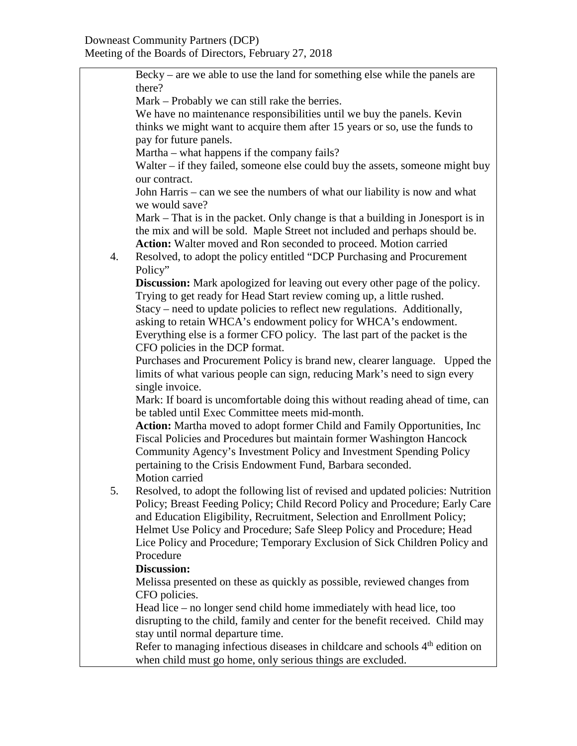Becky – are we able to use the land for something else while the panels are there? Mark – Probably we can still rake the berries. We have no maintenance responsibilities until we buy the panels. Kevin thinks we might want to acquire them after 15 years or so, use the funds to pay for future panels. Martha – what happens if the company fails? Walter – if they failed, someone else could buy the assets, someone might buy our contract. John Harris – can we see the numbers of what our liability is now and what we would save? Mark – That is in the packet. Only change is that a building in Jonesport is in the mix and will be sold. Maple Street not included and perhaps should be. **Action:** Walter moved and Ron seconded to proceed. Motion carried 4. Resolved, to adopt the policy entitled "DCP Purchasing and Procurement Policy" **Discussion:** Mark apologized for leaving out every other page of the policy. Trying to get ready for Head Start review coming up, a little rushed. Stacy – need to update policies to reflect new regulations. Additionally, asking to retain WHCA's endowment policy for WHCA's endowment. Everything else is a former CFO policy. The last part of the packet is the CFO policies in the DCP format. Purchases and Procurement Policy is brand new, clearer language. Upped the limits of what various people can sign, reducing Mark's need to sign every single invoice. Mark: If board is uncomfortable doing this without reading ahead of time, can be tabled until Exec Committee meets mid-month. **Action:** Martha moved to adopt former Child and Family Opportunities, Inc Fiscal Policies and Procedures but maintain former Washington Hancock Community Agency's Investment Policy and Investment Spending Policy pertaining to the Crisis Endowment Fund, Barbara seconded. Motion carried 5. Resolved, to adopt the following list of revised and updated policies: Nutrition Policy; Breast Feeding Policy; Child Record Policy and Procedure; Early Care and Education Eligibility, Recruitment, Selection and Enrollment Policy; Helmet Use Policy and Procedure; Safe Sleep Policy and Procedure; Head Lice Policy and Procedure; Temporary Exclusion of Sick Children Policy and Procedure **Discussion:** Melissa presented on these as quickly as possible, reviewed changes from CFO policies. Head lice – no longer send child home immediately with head lice, too disrupting to the child, family and center for the benefit received. Child may stay until normal departure time. Refer to managing infectious diseases in childcare and schools  $4<sup>th</sup>$  edition on when child must go home, only serious things are excluded.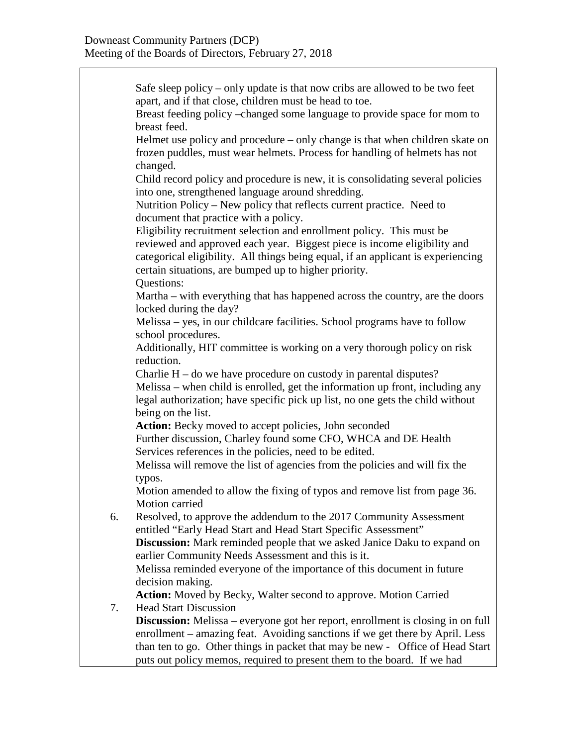Safe sleep policy – only update is that now cribs are allowed to be two feet apart, and if that close, children must be head to toe. Breast feeding policy –changed some language to provide space for mom to breast feed. Helmet use policy and procedure – only change is that when children skate on frozen puddles, must wear helmets. Process for handling of helmets has not changed. Child record policy and procedure is new, it is consolidating several policies into one, strengthened language around shredding. Nutrition Policy – New policy that reflects current practice. Need to document that practice with a policy. Eligibility recruitment selection and enrollment policy. This must be reviewed and approved each year. Biggest piece is income eligibility and categorical eligibility. All things being equal, if an applicant is experiencing certain situations, are bumped up to higher priority. Questions: Martha – with everything that has happened across the country, are the doors locked during the day? Melissa – yes, in our childcare facilities. School programs have to follow school procedures. Additionally, HIT committee is working on a very thorough policy on risk reduction. Charlie H – do we have procedure on custody in parental disputes? Melissa – when child is enrolled, get the information up front, including any legal authorization; have specific pick up list, no one gets the child without being on the list. Action: Becky moved to accept policies, John seconded Further discussion, Charley found some CFO, WHCA and DE Health Services references in the policies, need to be edited. Melissa will remove the list of agencies from the policies and will fix the typos. Motion amended to allow the fixing of typos and remove list from page 36. Motion carried 6. Resolved, to approve the addendum to the 2017 Community Assessment entitled "Early Head Start and Head Start Specific Assessment" **Discussion:** Mark reminded people that we asked Janice Daku to expand on earlier Community Needs Assessment and this is it. Melissa reminded everyone of the importance of this document in future decision making. **Action:** Moved by Becky, Walter second to approve. Motion Carried 7. Head Start Discussion **Discussion:** Melissa – everyone got her report, enrollment is closing in on full enrollment – amazing feat. Avoiding sanctions if we get there by April. Less than ten to go. Other things in packet that may be new - Office of Head Start puts out policy memos, required to present them to the board. If we had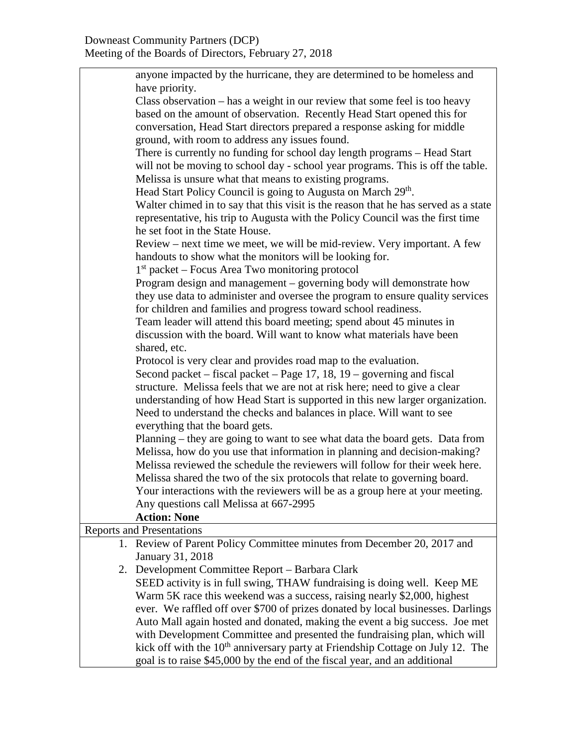## Downeast Community Partners (DCP) Meeting of the Boards of Directors, February 27, 2018

| anyone impacted by the hurricane, they are determined to be homeless and                   |  |  |
|--------------------------------------------------------------------------------------------|--|--|
| have priority.                                                                             |  |  |
| Class observation – has a weight in our review that some feel is too heavy                 |  |  |
| based on the amount of observation. Recently Head Start opened this for                    |  |  |
| conversation, Head Start directors prepared a response asking for middle                   |  |  |
| ground, with room to address any issues found.                                             |  |  |
| There is currently no funding for school day length programs – Head Start                  |  |  |
| will not be moving to school day - school year programs. This is off the table.            |  |  |
| Melissa is unsure what that means to existing programs.                                    |  |  |
| Head Start Policy Council is going to Augusta on March 29 <sup>th</sup> .                  |  |  |
| Walter chimed in to say that this visit is the reason that he has served as a state        |  |  |
| representative, his trip to Augusta with the Policy Council was the first time             |  |  |
| he set foot in the State House.                                                            |  |  |
| Review – next time we meet, we will be mid-review. Very important. A few                   |  |  |
| handouts to show what the monitors will be looking for.                                    |  |  |
| $1st$ packet – Focus Area Two monitoring protocol                                          |  |  |
| Program design and management – governing body will demonstrate how                        |  |  |
| they use data to administer and oversee the program to ensure quality services             |  |  |
| for children and families and progress toward school readiness.                            |  |  |
| Team leader will attend this board meeting; spend about 45 minutes in                      |  |  |
| discussion with the board. Will want to know what materials have been                      |  |  |
| shared, etc.                                                                               |  |  |
| Protocol is very clear and provides road map to the evaluation.                            |  |  |
| Second packet – fiscal packet – Page 17, 18, 19 – governing and fiscal                     |  |  |
| structure. Melissa feels that we are not at risk here; need to give a clear                |  |  |
| understanding of how Head Start is supported in this new larger organization.              |  |  |
| Need to understand the checks and balances in place. Will want to see                      |  |  |
| everything that the board gets.                                                            |  |  |
| Planning – they are going to want to see what data the board gets. Data from               |  |  |
| Melissa, how do you use that information in planning and decision-making?                  |  |  |
| Melissa reviewed the schedule the reviewers will follow for their week here.               |  |  |
| Melissa shared the two of the six protocols that relate to governing board.                |  |  |
| Your interactions with the reviewers will be as a group here at your meeting.              |  |  |
| Any questions call Melissa at 667-2995                                                     |  |  |
| <b>Action: None</b>                                                                        |  |  |
| <b>Reports and Presentations</b>                                                           |  |  |
| 1. Review of Parent Policy Committee minutes from December 20, 2017 and                    |  |  |
| January 31, 2018                                                                           |  |  |
| 2. Development Committee Report – Barbara Clark                                            |  |  |
| SEED activity is in full swing, THAW fundraising is doing well. Keep ME                    |  |  |
| Warm 5K race this weekend was a success, raising nearly \$2,000, highest                   |  |  |
| ever. We raffled off over \$700 of prizes donated by local businesses. Darlings            |  |  |
| Auto Mall again hosted and donated, making the event a big success. Joe met                |  |  |
| with Development Committee and presented the fundraising plan, which will                  |  |  |
| kick off with the 10 <sup>th</sup> anniversary party at Friendship Cottage on July 12. The |  |  |
| goal is to raise \$45,000 by the end of the fiscal year, and an additional                 |  |  |
|                                                                                            |  |  |